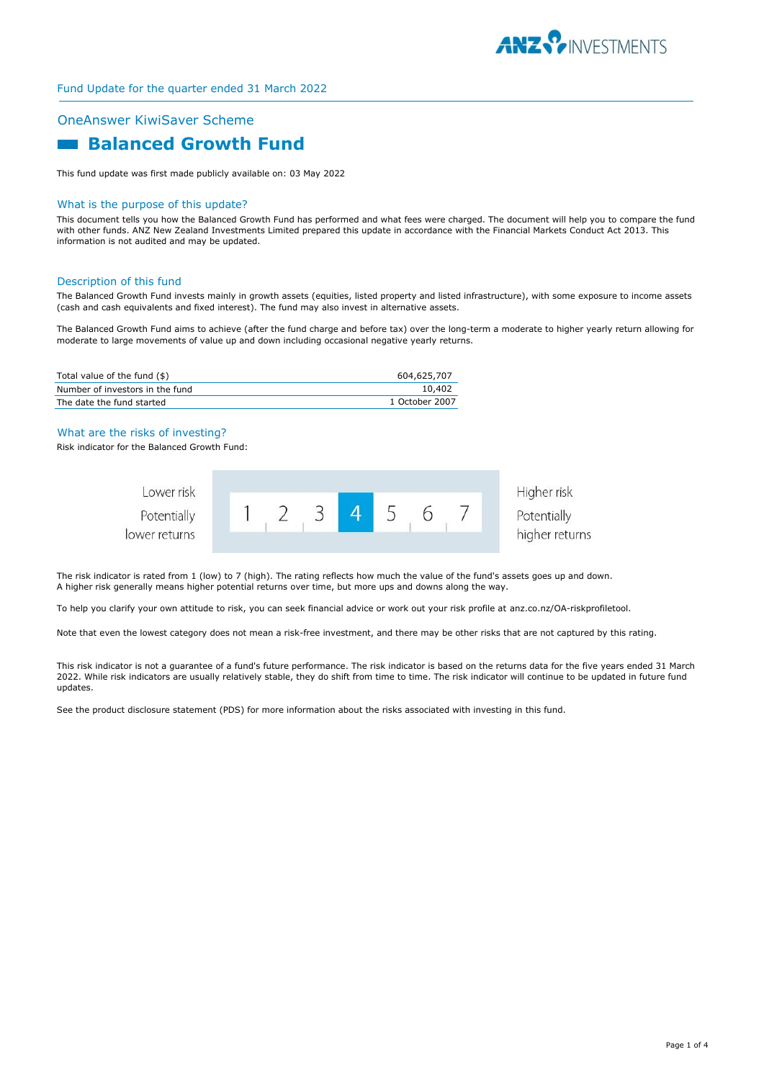

# OneAnswer KiwiSaver Scheme

# **Balanced Growth Fund**

This fund update was first made publicly available on: 03 May 2022

#### What is the purpose of this update?

This document tells you how the Balanced Growth Fund has performed and what fees were charged. The document will help you to compare the fund with other funds. ANZ New Zealand Investments Limited prepared this update in accordance with the Financial Markets Conduct Act 2013. This information is not audited and may be updated.

#### Description of this fund

The Balanced Growth Fund invests mainly in growth assets (equities, listed property and listed infrastructure), with some exposure to income assets (cash and cash equivalents and fixed interest). The fund may also invest in alternative assets.

The Balanced Growth Fund aims to achieve (after the fund charge and before tax) over the long-term a moderate to higher yearly return allowing for moderate to large movements of value up and down including occasional negative yearly returns.

| Total value of the fund (\$)    | 604,625,707    |
|---------------------------------|----------------|
| Number of investors in the fund | 10,402         |
| The date the fund started       | 1 October 2007 |

#### What are the risks of investing?

Risk indicator for the Balanced Growth Fund:



The risk indicator is rated from 1 (low) to 7 (high). The rating reflects how much the value of the fund's assets goes up and down. A higher risk generally means higher potential returns over time, but more ups and downs along the way.

To help you clarify your own attitude to risk, you can seek financial advice or work out your risk profile at anz.co.nz/OA-riskprofiletool.

Note that even the lowest category does not mean a risk-free investment, and there may be other risks that are not captured by this rating.

This risk indicator is not a guarantee of a fund's future performance. The risk indicator is based on the returns data for the five years ended 31 March 2022. While risk indicators are usually relatively stable, they do shift from time to time. The risk indicator will continue to be updated in future fund updates.

See the product disclosure statement (PDS) for more information about the risks associated with investing in this fund.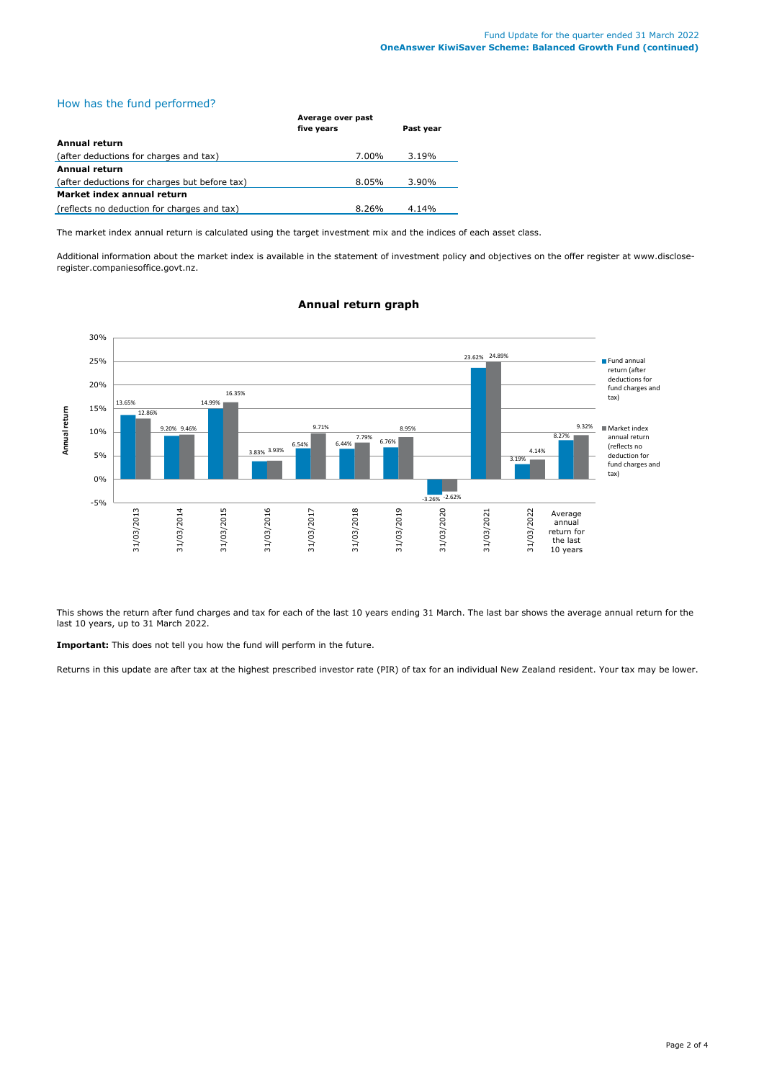# How has the fund performed?

|                                               | Average over past |           |
|-----------------------------------------------|-------------------|-----------|
|                                               | five years        | Past year |
| Annual return                                 |                   |           |
| (after deductions for charges and tax)        | 7.00%             | 3.19%     |
| Annual return                                 |                   |           |
| (after deductions for charges but before tax) | 8.05%             | $3.90\%$  |
| Market index annual return                    |                   |           |
| (reflects no deduction for charges and tax)   | 8.26%             | 4.14%     |

The market index annual return is calculated using the target investment mix and the indices of each asset class.

Additional information about the market index is available in the statement of investment policy and objectives on the offer register at www.discloseregister.companiesoffice.govt.nz.



## **Annual return graph**

This shows the return after fund charges and tax for each of the last 10 years ending 31 March. The last bar shows the average annual return for the last 10 years, up to 31 March 2022.

**Important:** This does not tell you how the fund will perform in the future.

Returns in this update are after tax at the highest prescribed investor rate (PIR) of tax for an individual New Zealand resident. Your tax may be lower.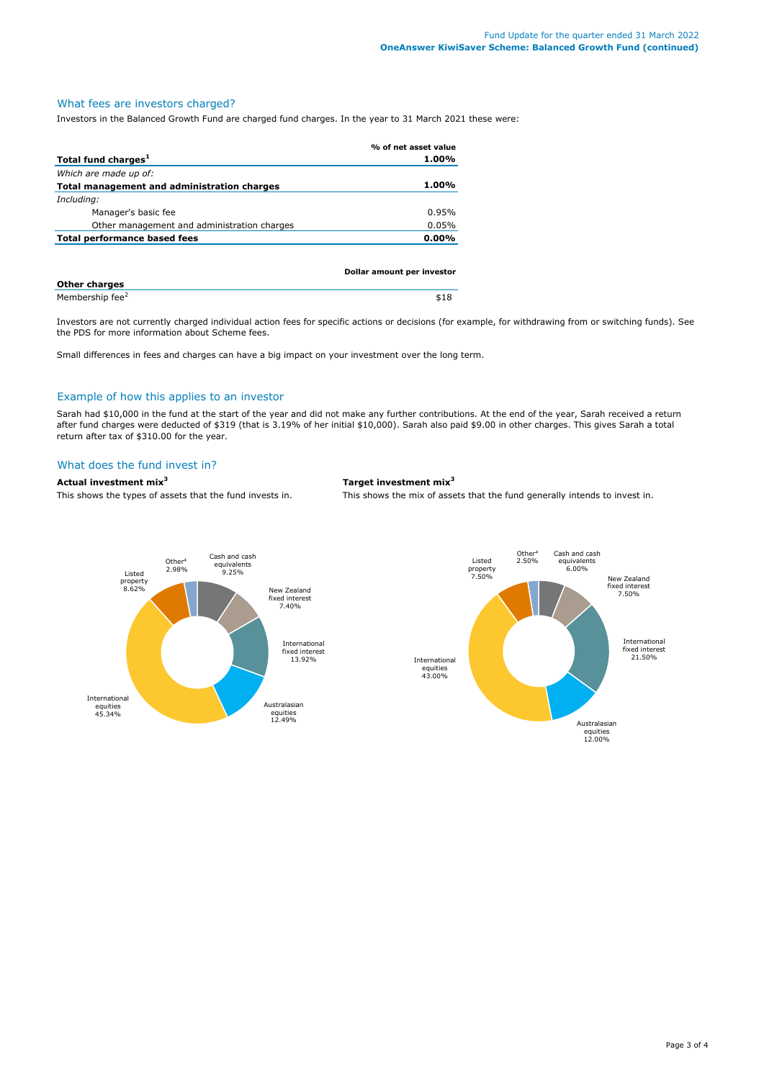# What fees are investors charged?

Investors in the Balanced Growth Fund are charged fund charges. In the year to 31 March 2021 these were:

|                                             | % of net asset value       |
|---------------------------------------------|----------------------------|
| Total fund charges <sup>1</sup>             | 1.00%                      |
| Which are made up of:                       |                            |
| Total management and administration charges | 1.00%                      |
| Including:                                  |                            |
| Manager's basic fee                         | 0.95%                      |
| Other management and administration charges | 0.05%                      |
| Total performance based fees                | $0.00\%$                   |
|                                             |                            |
|                                             |                            |
|                                             | Dollar amount ner investor |

| <b>Other charges</b>        |  |
|-----------------------------|--|
| Membership fee <sup>2</sup> |  |

Investors are not currently charged individual action fees for specific actions or decisions (for example, for withdrawing from or switching funds). See the PDS for more information about Scheme fees.

Small differences in fees and charges can have a big impact on your investment over the long term.

## Example of how this applies to an investor

Sarah had \$10,000 in the fund at the start of the year and did not make any further contributions. At the end of the year, Sarah received a return after fund charges were deducted of \$319 (that is 3.19% of her initial \$10,000). Sarah also paid \$9.00 in other charges. This gives Sarah a total return after tax of \$310.00 for the year.

# What does the fund invest in?

#### **Actual investment mix<sup>3</sup> Target investment mix<sup>3</sup>**

This shows the types of assets that the fund invests in. This shows the mix of assets that the fund generally intends to invest in.